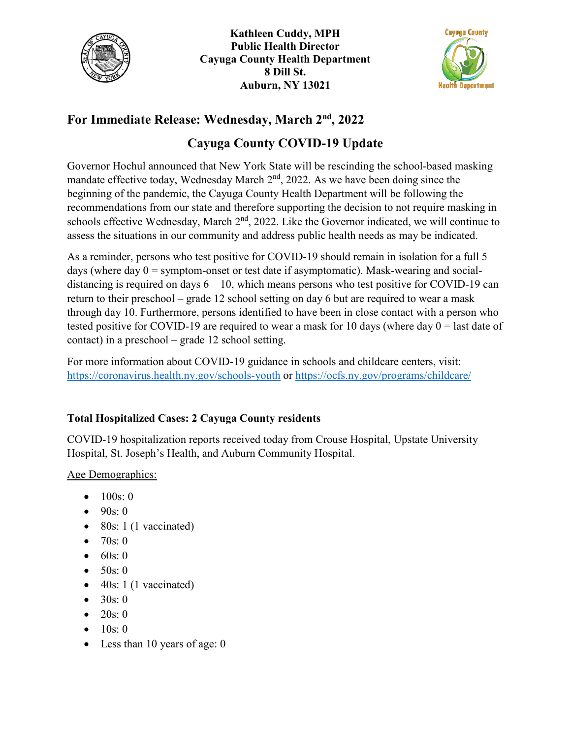

**Kathleen Cuddy, MPH Public Health Director Cayuga County Health Department 8 Dill St. Auburn, NY 13021**



## **For Immediate Release: Wednesday, March 2nd , 2022**

## **Cayuga County COVID-19 Update**

Governor Hochul announced that New York State will be rescinding the school-based masking mandate effective today, Wednesday March  $2<sup>nd</sup>$ , 2022. As we have been doing since the beginning of the pandemic, the Cayuga County Health Department will be following the recommendations from our state and therefore supporting the decision to not require masking in schools effective Wednesday, March 2<sup>nd</sup>, 2022. Like the Governor indicated, we will continue to assess the situations in our community and address public health needs as may be indicated.

As a reminder, persons who test positive for COVID-19 should remain in isolation for a full 5 days (where day  $0 =$  symptom-onset or test date if asymptomatic). Mask-wearing and socialdistancing is required on days  $6 - 10$ , which means persons who test positive for COVID-19 can return to their preschool – grade 12 school setting on day 6 but are required to wear a mask through day 10. Furthermore, persons identified to have been in close contact with a person who tested positive for COVID-19 are required to wear a mask for 10 days (where day  $0 =$  last date of contact) in a preschool – grade 12 school setting.

For more information about COVID-19 guidance in schools and childcare centers, visit: <https://coronavirus.health.ny.gov/schools-youth> or<https://ocfs.ny.gov/programs/childcare/>

## **Total Hospitalized Cases: 2 Cayuga County residents**

COVID-19 hospitalization reports received today from Crouse Hospital, Upstate University Hospital, St. Joseph's Health, and Auburn Community Hospital.

Age Demographics:

- $100s:0$
- $90s:0$
- 80s: 1 (1 vaccinated)
- 70s: 0
- $60s:0$
- $50s:0$
- $\bullet$  40s: 1 (1 vaccinated)
- $30s:0$
- $20s:0$
- $10s: 0$
- Less than 10 years of age: 0